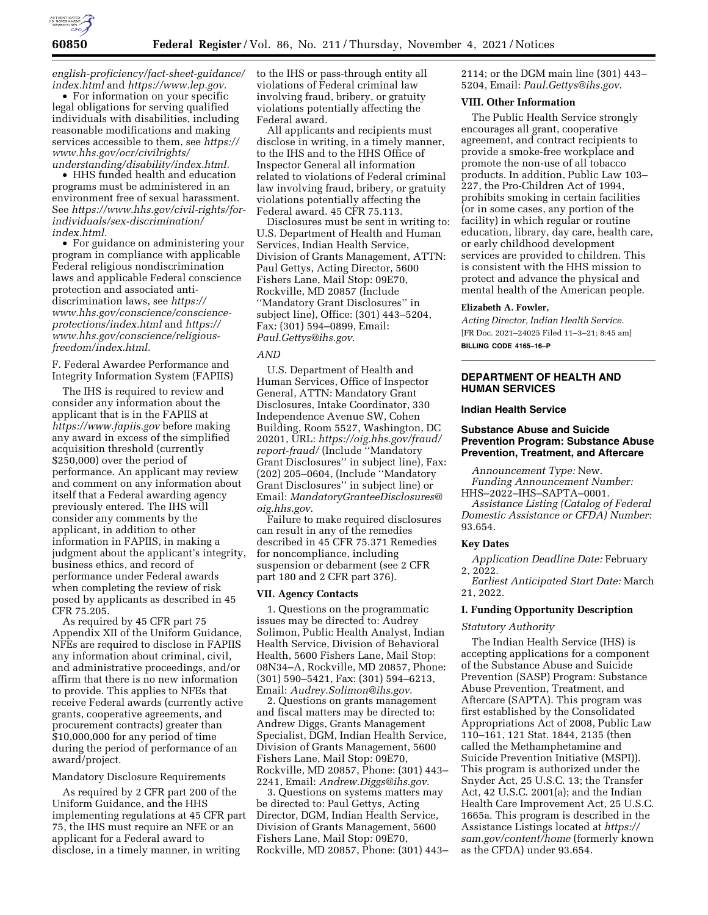

*[english-proficiency/fact-sheet-guidance/](https://www.hhs.gov/civil-rights/for-individuals/special-topics/limited-english-proficiency/fact-sheet-guidance/index.html)  [index.html](https://www.hhs.gov/civil-rights/for-individuals/special-topics/limited-english-proficiency/fact-sheet-guidance/index.html)* and *[https://www.lep.gov.](https://www.lep.gov)* 

• For information on your specific legal obligations for serving qualified individuals with disabilities, including reasonable modifications and making services accessible to them, see *[https://](https://www.hhs.gov/ocr/civilrights/understanding/disability/index.html)  [www.hhs.gov/ocr/civilrights/](https://www.hhs.gov/ocr/civilrights/understanding/disability/index.html) [understanding/disability/index.html.](https://www.hhs.gov/ocr/civilrights/understanding/disability/index.html)* 

• HHS funded health and education programs must be administered in an environment free of sexual harassment. See *[https://www.hhs.gov/civil-rights/for](https://www.hhs.gov/civil-rights/for-individuals/sex-discrimination/index.html)[individuals/sex-discrimination/](https://www.hhs.gov/civil-rights/for-individuals/sex-discrimination/index.html) [index.html.](https://www.hhs.gov/civil-rights/for-individuals/sex-discrimination/index.html)* 

• For guidance on administering your program in compliance with applicable Federal religious nondiscrimination laws and applicable Federal conscience protection and associated antidiscrimination laws, see *[https://](https://www.hhs.gov/conscience/conscience-protections/index.html) [www.hhs.gov/conscience/conscience](https://www.hhs.gov/conscience/conscience-protections/index.html)[protections/index.html](https://www.hhs.gov/conscience/conscience-protections/index.html)* and *[https://](https://www.hhs.gov/conscience/religious-freedom/index.html) [www.hhs.gov/conscience/religious](https://www.hhs.gov/conscience/religious-freedom/index.html)[freedom/index.html.](https://www.hhs.gov/conscience/religious-freedom/index.html)* 

F. Federal Awardee Performance and Integrity Information System (FAPIIS)

The IHS is required to review and consider any information about the applicant that is in the FAPIIS at *<https://www.fapiis.gov>* before making any award in excess of the simplified acquisition threshold (currently \$250,000) over the period of performance. An applicant may review and comment on any information about itself that a Federal awarding agency previously entered. The IHS will consider any comments by the applicant, in addition to other information in FAPIIS, in making a judgment about the applicant's integrity, business ethics, and record of performance under Federal awards when completing the review of risk posed by applicants as described in 45 CFR 75.205.

As required by 45 CFR part 75 Appendix XII of the Uniform Guidance, NFEs are required to disclose in FAPIIS any information about criminal, civil, and administrative proceedings, and/or affirm that there is no new information to provide. This applies to NFEs that receive Federal awards (currently active grants, cooperative agreements, and procurement contracts) greater than \$10,000,000 for any period of time during the period of performance of an award/project.

### Mandatory Disclosure Requirements

As required by 2 CFR part 200 of the Uniform Guidance, and the HHS implementing regulations at 45 CFR part 75, the IHS must require an NFE or an applicant for a Federal award to disclose, in a timely manner, in writing

to the IHS or pass-through entity all violations of Federal criminal law involving fraud, bribery, or gratuity violations potentially affecting the Federal award.

All applicants and recipients must disclose in writing, in a timely manner, to the IHS and to the HHS Office of Inspector General all information related to violations of Federal criminal law involving fraud, bribery, or gratuity violations potentially affecting the Federal award. 45 CFR 75.113.

Disclosures must be sent in writing to: U.S. Department of Health and Human Services, Indian Health Service, Division of Grants Management, ATTN: Paul Gettys, Acting Director, 5600 Fishers Lane, Mail Stop: 09E70, Rockville, MD 20857 (Include ''Mandatory Grant Disclosures'' in subject line), Office: (301) 443–5204, Fax: (301) 594–0899, Email: *[Paul.Gettys@ihs.gov](mailto:Paul.Gettys@ihs.gov)*.

#### *AND*

U.S. Department of Health and Human Services, Office of Inspector General, ATTN: Mandatory Grant Disclosures, Intake Coordinator, 330 Independence Avenue SW, Cohen Building, Room 5527, Washington, DC 20201, URL: *[https://oig.hhs.gov/fraud/](https://oig.hhs.gov/fraud/report-fraud/) [report-fraud/](https://oig.hhs.gov/fraud/report-fraud/)* (Include ''Mandatory Grant Disclosures'' in subject line), Fax: (202) 205–0604, (Include ''Mandatory Grant Disclosures'' in subject line) or Email: *[MandatoryGranteeDisclosures@](mailto:MandatoryGranteeDisclosures@oig.hhs.gov) [oig.hhs.gov](mailto:MandatoryGranteeDisclosures@oig.hhs.gov)*.

Failure to make required disclosures can result in any of the remedies described in 45 CFR 75.371 Remedies for noncompliance, including suspension or debarment (see 2 CFR part 180 and 2 CFR part 376).

#### **VII. Agency Contacts**

1. Questions on the programmatic issues may be directed to: Audrey Solimon, Public Health Analyst, Indian Health Service, Division of Behavioral Health, 5600 Fishers Lane, Mail Stop: 08N34–A, Rockville, MD 20857, Phone: (301) 590–5421, Fax: (301) 594–6213, Email: *[Audrey.Solimon@ihs.gov](mailto:Audrey.Solimon@ihs.gov)*.

2. Questions on grants management and fiscal matters may be directed to: Andrew Diggs, Grants Management Specialist, DGM, Indian Health Service, Division of Grants Management, 5600 Fishers Lane, Mail Stop: 09E70, Rockville, MD 20857, Phone: (301) 443– 2241, Email: *[Andrew.Diggs@ihs.gov](mailto:Andrew.Diggs@ihs.gov)*.

3. Questions on systems matters may be directed to: Paul Gettys, Acting Director, DGM, Indian Health Service, Division of Grants Management, 5600 Fishers Lane, Mail Stop: 09E70, Rockville, MD 20857, Phone: (301) 443– 2114; or the DGM main line (301) 443– 5204, Email: *[Paul.Gettys@ihs.gov](mailto:Paul.Gettys@ihs.gov)*.

#### **VIII. Other Information**

The Public Health Service strongly encourages all grant, cooperative agreement, and contract recipients to provide a smoke-free workplace and promote the non-use of all tobacco products. In addition, Public Law 103– 227, the Pro-Children Act of 1994, prohibits smoking in certain facilities (or in some cases, any portion of the facility) in which regular or routine education, library, day care, health care, or early childhood development services are provided to children. This is consistent with the HHS mission to protect and advance the physical and mental health of the American people.

#### **Elizabeth A. Fowler,**

*Acting Director, Indian Health Service.*  [FR Doc. 2021–24025 Filed 11–3–21; 8:45 am] **BILLING CODE 4165–16–P** 

## **DEPARTMENT OF HEALTH AND HUMAN SERVICES**

### **Indian Health Service**

## **Substance Abuse and Suicide Prevention Program: Substance Abuse Prevention, Treatment, and Aftercare**

*Announcement Type:* New.

*Funding Announcement Number:*  HHS–2022–IHS–SAPTA–0001.

*Assistance Listing (Catalog of Federal Domestic Assistance or CFDA) Number:*  93.654.

### **Key Dates**

*Application Deadline Date:* February 2, 2022.

*Earliest Anticipated Start Date:* March 21, 2022.

### **I. Funding Opportunity Description**

### *Statutory Authority*

The Indian Health Service (IHS) is accepting applications for a component of the Substance Abuse and Suicide Prevention (SASP) Program: Substance Abuse Prevention, Treatment, and Aftercare (SAPTA). This program was first established by the Consolidated Appropriations Act of 2008, Public Law 110–161, 121 Stat. 1844, 2135 (then called the Methamphetamine and Suicide Prevention Initiative (MSPI)). This program is authorized under the Snyder Act, 25 U.S.C. 13; the Transfer Act, 42 U.S.C. 2001(a); and the Indian Health Care Improvement Act, 25 U.S.C. 1665a. This program is described in the Assistance Listings located at *[https://](https://sam.gov/content/home) [sam.gov/content/home](https://sam.gov/content/home)* (formerly known as the CFDA) under 93.654.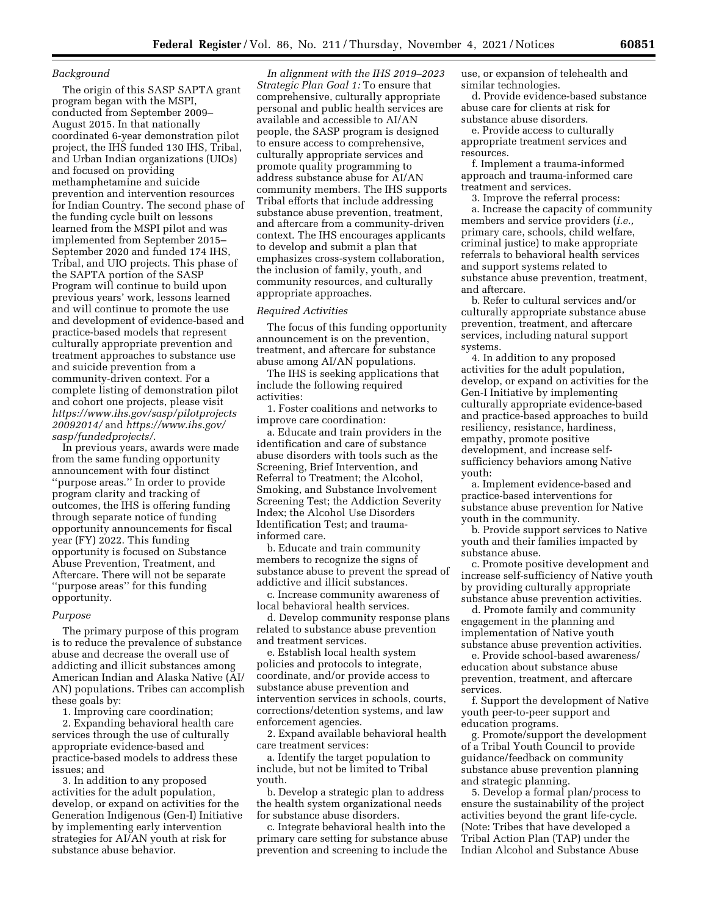### *Background*

The origin of this SASP SAPTA grant program began with the MSPI, conducted from September 2009– August 2015. In that nationally coordinated 6-year demonstration pilot project, the IHS funded 130 IHS, Tribal, and Urban Indian organizations (UIOs) and focused on providing methamphetamine and suicide prevention and intervention resources for Indian Country. The second phase of the funding cycle built on lessons learned from the MSPI pilot and was implemented from September 2015– September 2020 and funded 174 IHS, Tribal, and UIO projects. This phase of the SAPTA portion of the SASP Program will continue to build upon previous years' work, lessons learned and will continue to promote the use and development of evidence-based and practice-based models that represent culturally appropriate prevention and treatment approaches to substance use and suicide prevention from a community-driven context. For a complete listing of demonstration pilot and cohort one projects, please visit *[https://www.ihs.gov/sasp/pilotprojects](https://www.ihs.gov/sasp/pilotprojects20092014/) [20092014/](https://www.ihs.gov/sasp/pilotprojects20092014/)* and *[https://www.ihs.gov/](https://www.ihs.gov/sasp/fundedprojects/)  [sasp/fundedprojects/.](https://www.ihs.gov/sasp/fundedprojects/)* 

In previous years, awards were made from the same funding opportunity announcement with four distinct ''purpose areas.'' In order to provide program clarity and tracking of outcomes, the IHS is offering funding through separate notice of funding opportunity announcements for fiscal year (FY) 2022. This funding opportunity is focused on Substance Abuse Prevention, Treatment, and Aftercare. There will not be separate ''purpose areas'' for this funding opportunity.

### *Purpose*

The primary purpose of this program is to reduce the prevalence of substance abuse and decrease the overall use of addicting and illicit substances among American Indian and Alaska Native (AI/ AN) populations. Tribes can accomplish these goals by:

1. Improving care coordination;

2. Expanding behavioral health care services through the use of culturally appropriate evidence-based and practice-based models to address these issues; and

3. In addition to any proposed activities for the adult population, develop, or expand on activities for the Generation Indigenous (Gen-I) Initiative by implementing early intervention strategies for AI/AN youth at risk for substance abuse behavior.

*In alignment with the IHS 2019–2023 Strategic Plan Goal 1:* To ensure that comprehensive, culturally appropriate personal and public health services are available and accessible to AI/AN people, the SASP program is designed to ensure access to comprehensive, culturally appropriate services and promote quality programming to address substance abuse for AI/AN community members. The IHS supports Tribal efforts that include addressing substance abuse prevention, treatment, and aftercare from a community-driven context. The IHS encourages applicants to develop and submit a plan that emphasizes cross-system collaboration, the inclusion of family, youth, and community resources, and culturally appropriate approaches.

### *Required Activities*

The focus of this funding opportunity announcement is on the prevention, treatment, and aftercare for substance abuse among AI/AN populations.

The IHS is seeking applications that include the following required activities:

1. Foster coalitions and networks to improve care coordination:

a. Educate and train providers in the identification and care of substance abuse disorders with tools such as the Screening, Brief Intervention, and Referral to Treatment; the Alcohol, Smoking, and Substance Involvement Screening Test; the Addiction Severity Index; the Alcohol Use Disorders Identification Test; and traumainformed care.

b. Educate and train community members to recognize the signs of substance abuse to prevent the spread of addictive and illicit substances.

c. Increase community awareness of local behavioral health services.

d. Develop community response plans related to substance abuse prevention and treatment services.

e. Establish local health system policies and protocols to integrate, coordinate, and/or provide access to substance abuse prevention and intervention services in schools, courts, corrections/detention systems, and law enforcement agencies.

2. Expand available behavioral health care treatment services:

a. Identify the target population to include, but not be limited to Tribal youth.

b. Develop a strategic plan to address the health system organizational needs for substance abuse disorders.

c. Integrate behavioral health into the primary care setting for substance abuse prevention and screening to include the use, or expansion of telehealth and similar technologies.

d. Provide evidence-based substance abuse care for clients at risk for substance abuse disorders.

e. Provide access to culturally appropriate treatment services and resources.

f. Implement a trauma-informed approach and trauma-informed care treatment and services.

3. Improve the referral process: a. Increase the capacity of community members and service providers (*i.e.,*  primary care, schools, child welfare, criminal justice) to make appropriate referrals to behavioral health services and support systems related to substance abuse prevention, treatment, and aftercare.

b. Refer to cultural services and/or culturally appropriate substance abuse prevention, treatment, and aftercare services, including natural support systems.

4. In addition to any proposed activities for the adult population, develop, or expand on activities for the Gen-I Initiative by implementing culturally appropriate evidence-based and practice-based approaches to build resiliency, resistance, hardiness, empathy, promote positive development, and increase selfsufficiency behaviors among Native youth:

a. Implement evidence-based and practice-based interventions for substance abuse prevention for Native youth in the community.

b. Provide support services to Native youth and their families impacted by substance abuse.

c. Promote positive development and increase self-sufficiency of Native youth by providing culturally appropriate substance abuse prevention activities.

d. Promote family and community engagement in the planning and implementation of Native youth substance abuse prevention activities.

e. Provide school-based awareness/ education about substance abuse prevention, treatment, and aftercare services.

f. Support the development of Native youth peer-to-peer support and education programs.

g. Promote/support the development of a Tribal Youth Council to provide guidance/feedback on community substance abuse prevention planning and strategic planning.

5. Develop a formal plan/process to ensure the sustainability of the project activities beyond the grant life-cycle. (Note: Tribes that have developed a Tribal Action Plan (TAP) under the Indian Alcohol and Substance Abuse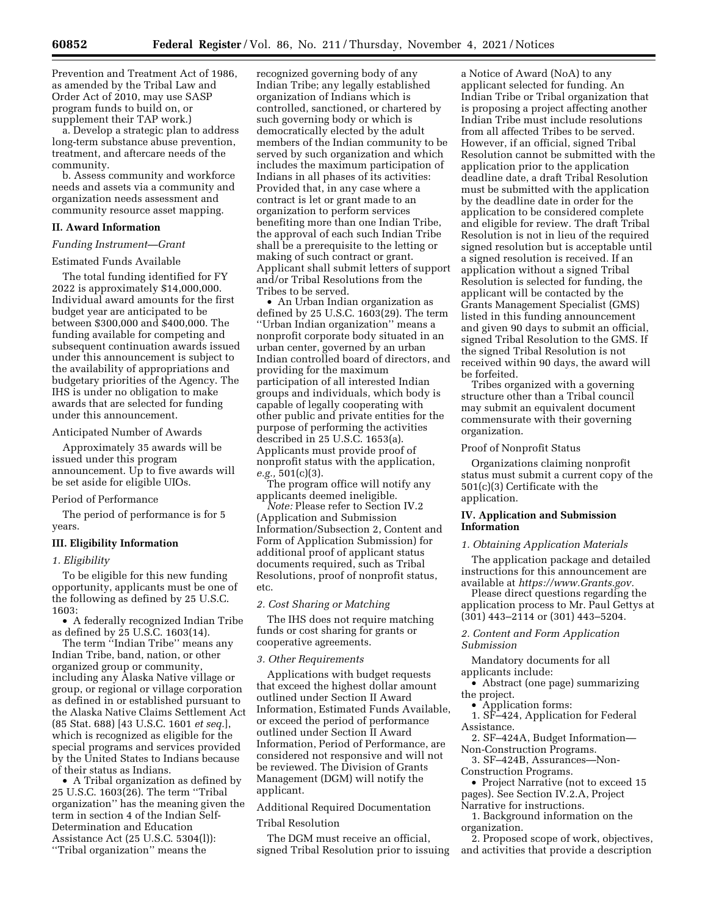Prevention and Treatment Act of 1986, as amended by the Tribal Law and Order Act of 2010, may use SASP program funds to build on, or supplement their TAP work.)

a. Develop a strategic plan to address long-term substance abuse prevention, treatment, and aftercare needs of the community.

b. Assess community and workforce needs and assets via a community and organization needs assessment and community resource asset mapping.

# **II. Award Information**

# *Funding Instrument—Grant*

# Estimated Funds Available

The total funding identified for FY 2022 is approximately \$14,000,000. Individual award amounts for the first budget year are anticipated to be between \$300,000 and \$400,000. The funding available for competing and subsequent continuation awards issued under this announcement is subject to the availability of appropriations and budgetary priorities of the Agency. The IHS is under no obligation to make awards that are selected for funding under this announcement.

### Anticipated Number of Awards

Approximately 35 awards will be issued under this program announcement. Up to five awards will be set aside for eligible UIOs.

## Period of Performance

The period of performance is for 5 years.

### **III. Eligibility Information**

### *1. Eligibility*

To be eligible for this new funding opportunity, applicants must be one of the following as defined by 25 U.S.C. 1603:

• A federally recognized Indian Tribe as defined by 25 U.S.C. 1603(14).

The term "Indian Tribe" means any Indian Tribe, band, nation, or other organized group or community, including any Alaska Native village or group, or regional or village corporation as defined in or established pursuant to the Alaska Native Claims Settlement Act (85 Stat. 688) [43 U.S.C. 1601 *et seq.*], which is recognized as eligible for the special programs and services provided by the United States to Indians because of their status as Indians.

• A Tribal organization as defined by 25 U.S.C. 1603(26). The term ''Tribal organization'' has the meaning given the term in section 4 of the Indian Self-Determination and Education Assistance Act (25 U.S.C. 5304(l)): ''Tribal organization'' means the

recognized governing body of any Indian Tribe; any legally established organization of Indians which is controlled, sanctioned, or chartered by such governing body or which is democratically elected by the adult members of the Indian community to be served by such organization and which includes the maximum participation of Indians in all phases of its activities: Provided that, in any case where a contract is let or grant made to an organization to perform services benefiting more than one Indian Tribe, the approval of each such Indian Tribe shall be a prerequisite to the letting or making of such contract or grant. Applicant shall submit letters of support and/or Tribal Resolutions from the Tribes to be served.

• An Urban Indian organization as defined by 25 U.S.C. 1603(29). The term ''Urban Indian organization'' means a nonprofit corporate body situated in an urban center, governed by an urban Indian controlled board of directors, and providing for the maximum participation of all interested Indian groups and individuals, which body is capable of legally cooperating with other public and private entities for the purpose of performing the activities described in 25 U.S.C. 1653(a). Applicants must provide proof of nonprofit status with the application, *e.g.,* 501(c)(3).

The program office will notify any applicants deemed ineligible.

*Note:* Please refer to Section IV.2 (Application and Submission Information/Subsection 2, Content and Form of Application Submission) for additional proof of applicant status documents required, such as Tribal Resolutions, proof of nonprofit status, etc.

## *2. Cost Sharing or Matching*

The IHS does not require matching funds or cost sharing for grants or cooperative agreements.

### *3. Other Requirements*

Applications with budget requests that exceed the highest dollar amount outlined under Section II Award Information, Estimated Funds Available, or exceed the period of performance outlined under Section II Award Information, Period of Performance, are considered not responsive and will not be reviewed. The Division of Grants Management (DGM) will notify the applicant.

Additional Required Documentation Tribal Resolution

The DGM must receive an official, signed Tribal Resolution prior to issuing

a Notice of Award (NoA) to any applicant selected for funding. An Indian Tribe or Tribal organization that is proposing a project affecting another Indian Tribe must include resolutions from all affected Tribes to be served. However, if an official, signed Tribal Resolution cannot be submitted with the application prior to the application deadline date, a draft Tribal Resolution must be submitted with the application by the deadline date in order for the application to be considered complete and eligible for review. The draft Tribal Resolution is not in lieu of the required signed resolution but is acceptable until a signed resolution is received. If an application without a signed Tribal Resolution is selected for funding, the applicant will be contacted by the Grants Management Specialist (GMS) listed in this funding announcement and given 90 days to submit an official, signed Tribal Resolution to the GMS. If the signed Tribal Resolution is not received within 90 days, the award will be forfeited.

Tribes organized with a governing structure other than a Tribal council may submit an equivalent document commensurate with their governing organization.

#### Proof of Nonprofit Status

Organizations claiming nonprofit status must submit a current copy of the 501(c)(3) Certificate with the application.

### **IV. Application and Submission Information**

## *1. Obtaining Application Materials*

The application package and detailed instructions for this announcement are available at *[https://www.Grants.gov.](https://www.Grants.gov)* 

Please direct questions regarding the application process to Mr. Paul Gettys at (301) 443–2114 or (301) 443–5204.

## *2. Content and Form Application Submission*

Mandatory documents for all applicants include:

• Abstract (one page) summarizing the project.

• Application forms:

1. SF–424, Application for Federal Assistance.

2. SF–424A, Budget Information— Non-Construction Programs.

3. SF–424B, Assurances—Non-Construction Programs.

• Project Narrative (not to exceed 15 pages). See Section IV.2.A, Project

Narrative for instructions.

1. Background information on the organization.

2. Proposed scope of work, objectives, and activities that provide a description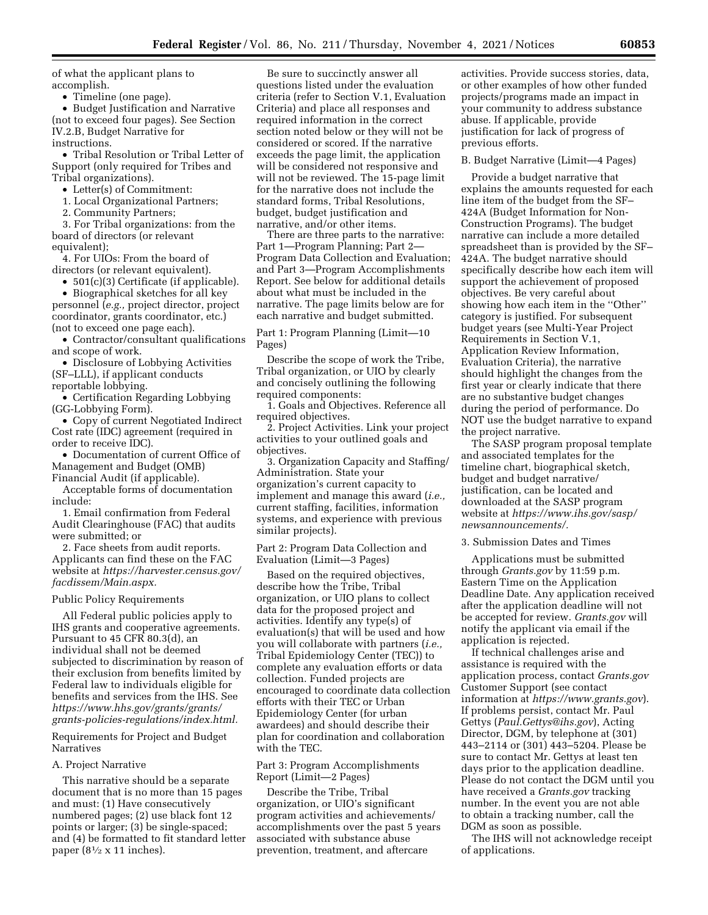of what the applicant plans to accomplish.

• Timeline (one page).

• Budget Justification and Narrative (not to exceed four pages). See Section IV.2.B, Budget Narrative for instructions.

• Tribal Resolution or Tribal Letter of Support (only required for Tribes and Tribal organizations).

• Letter(s) of Commitment:

1. Local Organizational Partners;

2. Community Partners;

3. For Tribal organizations: from the board of directors (or relevant equivalent);

4. For UIOs: From the board of directors (or relevant equivalent).

• 501(c)(3) Certificate (if applicable). • Biographical sketches for all key personnel (*e.g.,* project director, project

coordinator, grants coordinator, etc.) (not to exceed one page each).

• Contractor/consultant qualifications and scope of work.

• Disclosure of Lobbying Activities (SF–LLL), if applicant conducts reportable lobbying.

• Certification Regarding Lobbying (GG-Lobbying Form).

• Copy of current Negotiated Indirect Cost rate (IDC) agreement (required in order to receive IDC).

• Documentation of current Office of Management and Budget (OMB) Financial Audit (if applicable).

Acceptable forms of documentation include:

1. Email confirmation from Federal Audit Clearinghouse (FAC) that audits were submitted; or

2. Face sheets from audit reports. Applicants can find these on the FAC website at *[https://harvester.census.gov/](https://harvester.census.gov/facdissem/Main.aspx) [facdissem/Main.aspx.](https://harvester.census.gov/facdissem/Main.aspx)* 

#### Public Policy Requirements

All Federal public policies apply to IHS grants and cooperative agreements. Pursuant to 45 CFR 80.3(d), an individual shall not be deemed subjected to discrimination by reason of their exclusion from benefits limited by Federal law to individuals eligible for benefits and services from the IHS. See *[https://www.hhs.gov/grants/grants/](https://www.hhs.gov/grants/grants/grants-policies-regulations/index.html)  [grants-policies-regulations/index.html.](https://www.hhs.gov/grants/grants/grants-policies-regulations/index.html)* 

Requirements for Project and Budget Narratives

### A. Project Narrative

This narrative should be a separate document that is no more than 15 pages and must: (1) Have consecutively numbered pages; (2) use black font 12 points or larger; (3) be single-spaced; and (4) be formatted to fit standard letter paper ( $8\frac{1}{2} \times 11$  inches).

Be sure to succinctly answer all questions listed under the evaluation criteria (refer to Section V.1, Evaluation Criteria) and place all responses and required information in the correct section noted below or they will not be considered or scored. If the narrative exceeds the page limit, the application will be considered not responsive and will not be reviewed. The 15-page limit for the narrative does not include the standard forms, Tribal Resolutions, budget, budget justification and narrative, and/or other items.

There are three parts to the narrative: Part 1—Program Planning; Part 2— Program Data Collection and Evaluation; and Part 3—Program Accomplishments Report. See below for additional details about what must be included in the narrative. The page limits below are for each narrative and budget submitted.

Part 1: Program Planning (Limit—10 Pages)

Describe the scope of work the Tribe, Tribal organization, or UIO by clearly and concisely outlining the following required components:

1. Goals and Objectives. Reference all required objectives.

2. Project Activities. Link your project activities to your outlined goals and objectives.

3. Organization Capacity and Staffing/ Administration. State your organization's current capacity to implement and manage this award (*i.e.,*  current staffing, facilities, information systems, and experience with previous similar projects).

Part 2: Program Data Collection and Evaluation (Limit—3 Pages)

Based on the required objectives, describe how the Tribe, Tribal organization, or UIO plans to collect data for the proposed project and activities. Identify any type(s) of evaluation(s) that will be used and how you will collaborate with partners (*i.e.,*  Tribal Epidemiology Center (TEC)) to complete any evaluation efforts or data collection. Funded projects are encouraged to coordinate data collection efforts with their TEC or Urban Epidemiology Center (for urban awardees) and should describe their plan for coordination and collaboration with the TEC.

### Part 3: Program Accomplishments Report (Limit—2 Pages)

Describe the Tribe, Tribal organization, or UIO's significant program activities and achievements/ accomplishments over the past 5 years associated with substance abuse prevention, treatment, and aftercare

activities. Provide success stories, data, or other examples of how other funded projects/programs made an impact in your community to address substance abuse. If applicable, provide justification for lack of progress of previous efforts.

#### B. Budget Narrative (Limit—4 Pages)

Provide a budget narrative that explains the amounts requested for each line item of the budget from the SF– 424A (Budget Information for Non-Construction Programs). The budget narrative can include a more detailed spreadsheet than is provided by the SF– 424A. The budget narrative should specifically describe how each item will support the achievement of proposed objectives. Be very careful about showing how each item in the ''Other'' category is justified. For subsequent budget years (see Multi-Year Project Requirements in Section V.1, Application Review Information, Evaluation Criteria), the narrative should highlight the changes from the first year or clearly indicate that there are no substantive budget changes during the period of performance. Do NOT use the budget narrative to expand the project narrative.

The SASP program proposal template and associated templates for the timeline chart, biographical sketch, budget and budget narrative/ justification, can be located and downloaded at the SASP program website at *[https://www.ihs.gov/sasp/](https://www.ihs.gov/sasp/newsannouncements/)  [newsannouncements/.](https://www.ihs.gov/sasp/newsannouncements/)* 

## 3. Submission Dates and Times

Applications must be submitted through *Grants.gov* by 11:59 p.m. Eastern Time on the Application Deadline Date. Any application received after the application deadline will not be accepted for review. *Grants.gov* will notify the applicant via email if the application is rejected.

If technical challenges arise and assistance is required with the application process, contact *Grants.gov*  Customer Support (see contact information at *<https://www.grants.gov>*). If problems persist, contact Mr. Paul Gettys (*[Paul.Gettys@ihs.gov](mailto:Paul.Gettys@ihs.gov)*), Acting Director, DGM, by telephone at (301) 443–2114 or (301) 443–5204. Please be sure to contact Mr. Gettys at least ten days prior to the application deadline. Please do not contact the DGM until you have received a *Grants.gov* tracking number. In the event you are not able to obtain a tracking number, call the DGM as soon as possible.

The IHS will not acknowledge receipt of applications.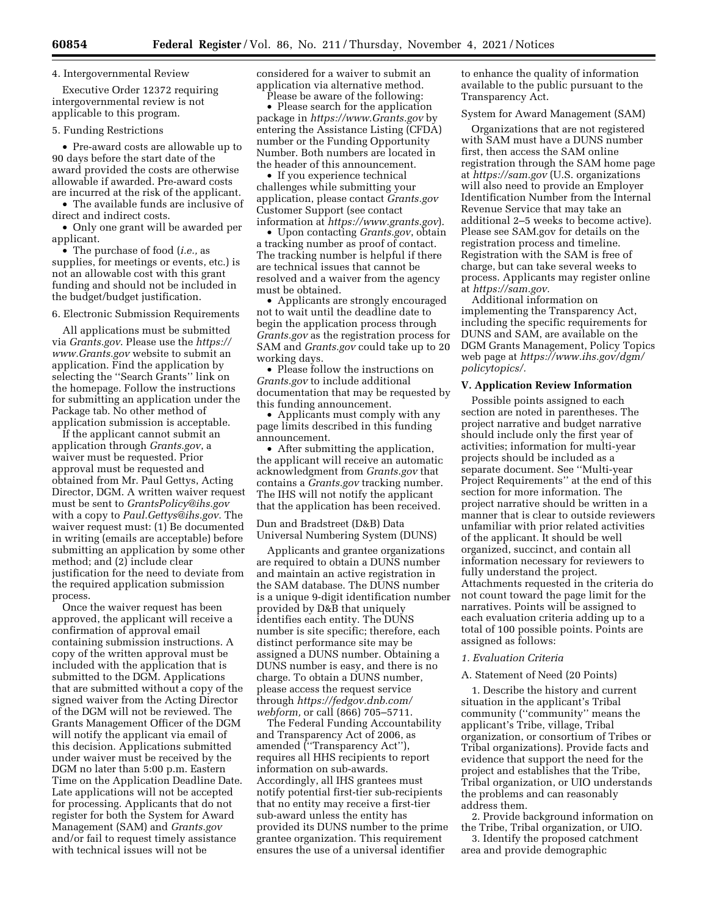### 4. Intergovernmental Review

Executive Order 12372 requiring intergovernmental review is not applicable to this program.

## 5. Funding Restrictions

• Pre-award costs are allowable up to 90 days before the start date of the award provided the costs are otherwise allowable if awarded. Pre-award costs are incurred at the risk of the applicant.

• The available funds are inclusive of direct and indirect costs.

• Only one grant will be awarded per applicant.

• The purchase of food (*i.e.,* as supplies, for meetings or events, etc.) is not an allowable cost with this grant funding and should not be included in the budget/budget justification.

## 6. Electronic Submission Requirements

All applications must be submitted via *Grants.gov*. Please use the *[https://](https://www.Grants.gov) [www.Grants.gov](https://www.Grants.gov)* website to submit an application. Find the application by selecting the ''Search Grants'' link on the homepage. Follow the instructions for submitting an application under the Package tab. No other method of application submission is acceptable.

If the applicant cannot submit an application through *Grants.gov*, a waiver must be requested. Prior approval must be requested and obtained from Mr. Paul Gettys, Acting Director, DGM. A written waiver request must be sent to *[GrantsPolicy@ihs.gov](mailto:GrantsPolicy@ihs.gov)*  with a copy to *[Paul.Gettys@ihs.gov.](mailto:Paul.Gettys@ihs.gov)* The waiver request must: (1) Be documented in writing (emails are acceptable) before submitting an application by some other method; and (2) include clear justification for the need to deviate from the required application submission process.

Once the waiver request has been approved, the applicant will receive a confirmation of approval email containing submission instructions. A copy of the written approval must be included with the application that is submitted to the DGM. Applications that are submitted without a copy of the signed waiver from the Acting Director of the DGM will not be reviewed. The Grants Management Officer of the DGM will notify the applicant via email of this decision. Applications submitted under waiver must be received by the DGM no later than 5:00 p.m. Eastern Time on the Application Deadline Date. Late applications will not be accepted for processing. Applicants that do not register for both the System for Award Management (SAM) and *Grants.gov*  and/or fail to request timely assistance with technical issues will not be

considered for a waiver to submit an application via alternative method. Please be aware of the following:

• Please search for the application package in *<https://www.Grants.gov>* by entering the Assistance Listing (CFDA) number or the Funding Opportunity Number. Both numbers are located in

the header of this announcement. • If you experience technical challenges while submitting your application, please contact *Grants.gov*  Customer Support (see contact information at *<https://www.grants.gov>*).

• Upon contacting *Grants.gov*, obtain a tracking number as proof of contact. The tracking number is helpful if there are technical issues that cannot be resolved and a waiver from the agency must be obtained.

• Applicants are strongly encouraged not to wait until the deadline date to begin the application process through *Grants.gov* as the registration process for SAM and *Grants.gov* could take up to 20 working days.

• Please follow the instructions on *Grants.gov* to include additional documentation that may be requested by this funding announcement.

• Applicants must comply with any page limits described in this funding announcement.

• After submitting the application, the applicant will receive an automatic acknowledgment from *Grants.gov* that contains a *Grants.gov* tracking number. The IHS will not notify the applicant that the application has been received.

Dun and Bradstreet (D&B) Data Universal Numbering System (DUNS)

Applicants and grantee organizations are required to obtain a DUNS number and maintain an active registration in the SAM database. The DUNS number is a unique 9-digit identification number provided by D&B that uniquely identifies each entity. The DUNS number is site specific; therefore, each distinct performance site may be assigned a DUNS number. Obtaining a DUNS number is easy, and there is no charge. To obtain a DUNS number, please access the request service through *[https://fedgov.dnb.com/](https://fedgov.dnb.com/webform)  [webform,](https://fedgov.dnb.com/webform)* or call (866) 705–5711.

The Federal Funding Accountability and Transparency Act of 2006, as amended (''Transparency Act''), requires all HHS recipients to report information on sub-awards. Accordingly, all IHS grantees must notify potential first-tier sub-recipients that no entity may receive a first-tier sub-award unless the entity has provided its DUNS number to the prime grantee organization. This requirement ensures the use of a universal identifier

to enhance the quality of information available to the public pursuant to the Transparency Act.

### System for Award Management (SAM)

Organizations that are not registered with SAM must have a DUNS number first, then access the SAM online registration through the SAM home page at *<https://sam.gov>* (U.S. organizations will also need to provide an Employer Identification Number from the Internal Revenue Service that may take an additional 2–5 weeks to become active). Please see SAM.gov for details on the registration process and timeline. Registration with the SAM is free of charge, but can take several weeks to process. Applicants may register online at *[https://sam.gov.](https://sam.gov)* 

Additional information on implementing the Transparency Act, including the specific requirements for DUNS and SAM, are available on the DGM Grants Management, Policy Topics web page at *[https://www.ihs.gov/dgm/](https://www.ihs.gov/dgm/policytopics/) [policytopics/.](https://www.ihs.gov/dgm/policytopics/)* 

## **V. Application Review Information**

Possible points assigned to each section are noted in parentheses. The project narrative and budget narrative should include only the first year of activities; information for multi-year projects should be included as a separate document. See ''Multi-year Project Requirements'' at the end of this section for more information. The project narrative should be written in a manner that is clear to outside reviewers unfamiliar with prior related activities of the applicant. It should be well organized, succinct, and contain all information necessary for reviewers to fully understand the project. Attachments requested in the criteria do not count toward the page limit for the narratives. Points will be assigned to each evaluation criteria adding up to a total of 100 possible points. Points are assigned as follows:

#### *1. Evaluation Criteria*

### A. Statement of Need (20 Points)

1. Describe the history and current situation in the applicant's Tribal community (''community'' means the applicant's Tribe, village, Tribal organization, or consortium of Tribes or Tribal organizations). Provide facts and evidence that support the need for the project and establishes that the Tribe, Tribal organization, or UIO understands the problems and can reasonably address them.

2. Provide background information on the Tribe, Tribal organization, or UIO.

3. Identify the proposed catchment area and provide demographic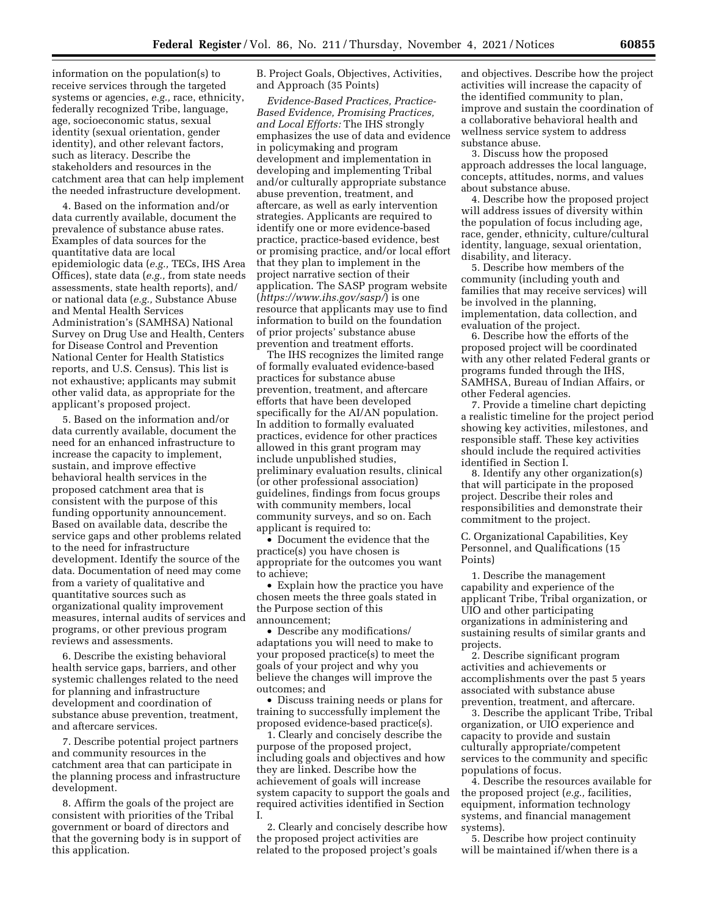information on the population(s) to receive services through the targeted systems or agencies, *e.g.,* race, ethnicity, federally recognized Tribe, language, age, socioeconomic status, sexual identity (sexual orientation, gender identity), and other relevant factors, such as literacy. Describe the stakeholders and resources in the catchment area that can help implement the needed infrastructure development.

4. Based on the information and/or data currently available, document the prevalence of substance abuse rates. Examples of data sources for the quantitative data are local epidemiologic data (*e.g.,* TECs, IHS Area Offices), state data (*e.g.,* from state needs assessments, state health reports), and/ or national data (*e.g.,* Substance Abuse and Mental Health Services Administration's (SAMHSA) National Survey on Drug Use and Health, Centers for Disease Control and Prevention National Center for Health Statistics reports, and U.S. Census). This list is not exhaustive; applicants may submit other valid data, as appropriate for the applicant's proposed project.

5. Based on the information and/or data currently available, document the need for an enhanced infrastructure to increase the capacity to implement, sustain, and improve effective behavioral health services in the proposed catchment area that is consistent with the purpose of this funding opportunity announcement. Based on available data, describe the service gaps and other problems related to the need for infrastructure development. Identify the source of the data. Documentation of need may come from a variety of qualitative and quantitative sources such as organizational quality improvement measures, internal audits of services and programs, or other previous program reviews and assessments.

6. Describe the existing behavioral health service gaps, barriers, and other systemic challenges related to the need for planning and infrastructure development and coordination of substance abuse prevention, treatment, and aftercare services.

7. Describe potential project partners and community resources in the catchment area that can participate in the planning process and infrastructure development.

8. Affirm the goals of the project are consistent with priorities of the Tribal government or board of directors and that the governing body is in support of this application.

B. Project Goals, Objectives, Activities, and Approach (35 Points)

*Evidence-Based Practices, Practice-Based Evidence, Promising Practices, and Local Efforts:* The IHS strongly emphasizes the use of data and evidence in policymaking and program development and implementation in developing and implementing Tribal and/or culturally appropriate substance abuse prevention, treatment, and aftercare, as well as early intervention strategies. Applicants are required to identify one or more evidence-based practice, practice-based evidence, best or promising practice, and/or local effort that they plan to implement in the project narrative section of their application. The SASP program website (*<https://www.ihs.gov/sasp/>*) is one resource that applicants may use to find information to build on the foundation of prior projects' substance abuse prevention and treatment efforts.

The IHS recognizes the limited range of formally evaluated evidence-based practices for substance abuse prevention, treatment, and aftercare efforts that have been developed specifically for the AI/AN population. In addition to formally evaluated practices, evidence for other practices allowed in this grant program may include unpublished studies, preliminary evaluation results, clinical (or other professional association) guidelines, findings from focus groups with community members, local community surveys, and so on. Each applicant is required to:

• Document the evidence that the practice(s) you have chosen is appropriate for the outcomes you want to achieve;

• Explain how the practice you have chosen meets the three goals stated in the Purpose section of this announcement;

• Describe any modifications/ adaptations you will need to make to your proposed practice(s) to meet the goals of your project and why you believe the changes will improve the outcomes; and

• Discuss training needs or plans for training to successfully implement the proposed evidence-based practice(s).

1. Clearly and concisely describe the purpose of the proposed project, including goals and objectives and how they are linked. Describe how the achievement of goals will increase system capacity to support the goals and required activities identified in Section I.

2. Clearly and concisely describe how the proposed project activities are related to the proposed project's goals

and objectives. Describe how the project activities will increase the capacity of the identified community to plan, improve and sustain the coordination of a collaborative behavioral health and wellness service system to address substance abuse.

3. Discuss how the proposed approach addresses the local language, concepts, attitudes, norms, and values about substance abuse.

4. Describe how the proposed project will address issues of diversity within the population of focus including age, race, gender, ethnicity, culture/cultural identity, language, sexual orientation, disability, and literacy.

5. Describe how members of the community (including youth and families that may receive services) will be involved in the planning, implementation, data collection, and evaluation of the project.

6. Describe how the efforts of the proposed project will be coordinated with any other related Federal grants or programs funded through the IHS, SAMHSA, Bureau of Indian Affairs, or other Federal agencies.

7. Provide a timeline chart depicting a realistic timeline for the project period showing key activities, milestones, and responsible staff. These key activities should include the required activities identified in Section I.

8. Identify any other organization(s) that will participate in the proposed project. Describe their roles and responsibilities and demonstrate their commitment to the project.

C. Organizational Capabilities, Key Personnel, and Qualifications (15 Points)

1. Describe the management capability and experience of the applicant Tribe, Tribal organization, or UIO and other participating organizations in administering and sustaining results of similar grants and projects.

2. Describe significant program activities and achievements or accomplishments over the past 5 years associated with substance abuse prevention, treatment, and aftercare.

3. Describe the applicant Tribe, Tribal organization, or UIO experience and capacity to provide and sustain culturally appropriate/competent services to the community and specific populations of focus.

4. Describe the resources available for the proposed project (*e.g.,* facilities, equipment, information technology systems, and financial management systems).

5. Describe how project continuity will be maintained if/when there is a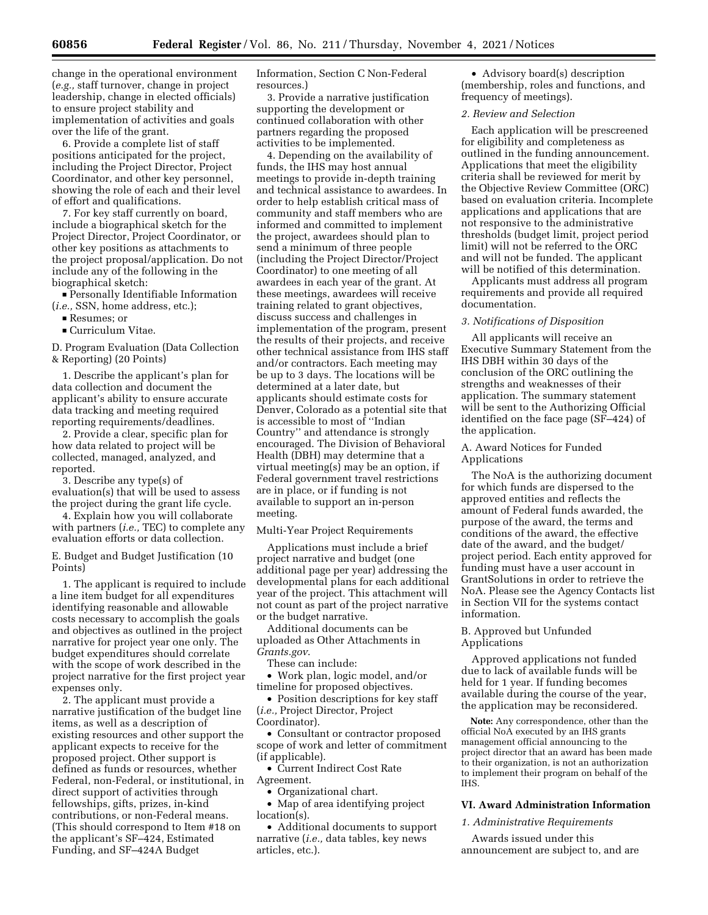change in the operational environment (*e.g.,* staff turnover, change in project leadership, change in elected officials) to ensure project stability and implementation of activities and goals over the life of the grant.

6. Provide a complete list of staff positions anticipated for the project, including the Project Director, Project Coordinator, and other key personnel, showing the role of each and their level of effort and qualifications.

7. For key staff currently on board, include a biographical sketch for the Project Director, Project Coordinator, or other key positions as attachments to the project proposal/application. Do not include any of the following in the biographical sketch:

■ Personally Identifiable Information (*i.e.,* SSN, home address, etc.);

■ Resumes; or<br>■ Curriculum '

 $\blacksquare$  Curriculum Vitae.

D. Program Evaluation (Data Collection & Reporting) (20 Points)

1. Describe the applicant's plan for data collection and document the applicant's ability to ensure accurate data tracking and meeting required reporting requirements/deadlines.

2. Provide a clear, specific plan for how data related to project will be collected, managed, analyzed, and reported.

3. Describe any type(s) of evaluation(s) that will be used to assess the project during the grant life cycle.

4. Explain how you will collaborate with partners (*i.e.,* TEC) to complete any evaluation efforts or data collection.

E. Budget and Budget Justification (10 Points)

1. The applicant is required to include a line item budget for all expenditures identifying reasonable and allowable costs necessary to accomplish the goals and objectives as outlined in the project narrative for project year one only. The budget expenditures should correlate with the scope of work described in the project narrative for the first project year expenses only.

2. The applicant must provide a narrative justification of the budget line items, as well as a description of existing resources and other support the applicant expects to receive for the proposed project. Other support is defined as funds or resources, whether Federal, non-Federal, or institutional, in direct support of activities through fellowships, gifts, prizes, in-kind contributions, or non-Federal means. (This should correspond to Item #18 on the applicant's SF–424, Estimated Funding, and SF–424A Budget

Information, Section C Non-Federal resources.)

3. Provide a narrative justification supporting the development or continued collaboration with other partners regarding the proposed activities to be implemented.

4. Depending on the availability of funds, the IHS may host annual meetings to provide in-depth training and technical assistance to awardees. In order to help establish critical mass of community and staff members who are informed and committed to implement the project, awardees should plan to send a minimum of three people (including the Project Director/Project Coordinator) to one meeting of all awardees in each year of the grant. At these meetings, awardees will receive training related to grant objectives, discuss success and challenges in implementation of the program, present the results of their projects, and receive other technical assistance from IHS staff and/or contractors. Each meeting may be up to 3 days. The locations will be determined at a later date, but applicants should estimate costs for Denver, Colorado as a potential site that is accessible to most of ''Indian Country'' and attendance is strongly encouraged. The Division of Behavioral Health (DBH) may determine that a virtual meeting(s) may be an option, if Federal government travel restrictions are in place, or if funding is not available to support an in-person meeting.

Multi-Year Project Requirements

Applications must include a brief project narrative and budget (one additional page per year) addressing the developmental plans for each additional year of the project. This attachment will not count as part of the project narrative or the budget narrative.

Additional documents can be uploaded as Other Attachments in *Grants.gov*.

These can include:

• Work plan, logic model, and/or timeline for proposed objectives.

• Position descriptions for key staff (*i.e.,* Project Director, Project Coordinator).

• Consultant or contractor proposed scope of work and letter of commitment (if applicable).

• Current Indirect Cost Rate Agreement.

• Organizational chart.

• Map of area identifying project location(s).

• Additional documents to support narrative (*i.e.,* data tables, key news articles, etc.).

• Advisory board(s) description (membership, roles and functions, and frequency of meetings).

### *2. Review and Selection*

Each application will be prescreened for eligibility and completeness as outlined in the funding announcement. Applications that meet the eligibility criteria shall be reviewed for merit by the Objective Review Committee (ORC) based on evaluation criteria. Incomplete applications and applications that are not responsive to the administrative thresholds (budget limit, project period limit) will not be referred to the ORC and will not be funded. The applicant will be notified of this determination.

Applicants must address all program requirements and provide all required documentation.

# *3. Notifications of Disposition*

All applicants will receive an Executive Summary Statement from the IHS DBH within 30 days of the conclusion of the ORC outlining the strengths and weaknesses of their application. The summary statement will be sent to the Authorizing Official identified on the face page (SF–424) of the application.

A. Award Notices for Funded Applications

The NoA is the authorizing document for which funds are dispersed to the approved entities and reflects the amount of Federal funds awarded, the purpose of the award, the terms and conditions of the award, the effective date of the award, and the budget/ project period. Each entity approved for funding must have a user account in GrantSolutions in order to retrieve the NoA. Please see the Agency Contacts list in Section VII for the systems contact information.

B. Approved but Unfunded Applications

Approved applications not funded due to lack of available funds will be held for 1 year. If funding becomes available during the course of the year, the application may be reconsidered.

**Note:** Any correspondence, other than the official NoA executed by an IHS grants management official announcing to the project director that an award has been made to their organization, is not an authorization to implement their program on behalf of the IHS.

## **VI. Award Administration Information**

#### *1. Administrative Requirements*

Awards issued under this announcement are subject to, and are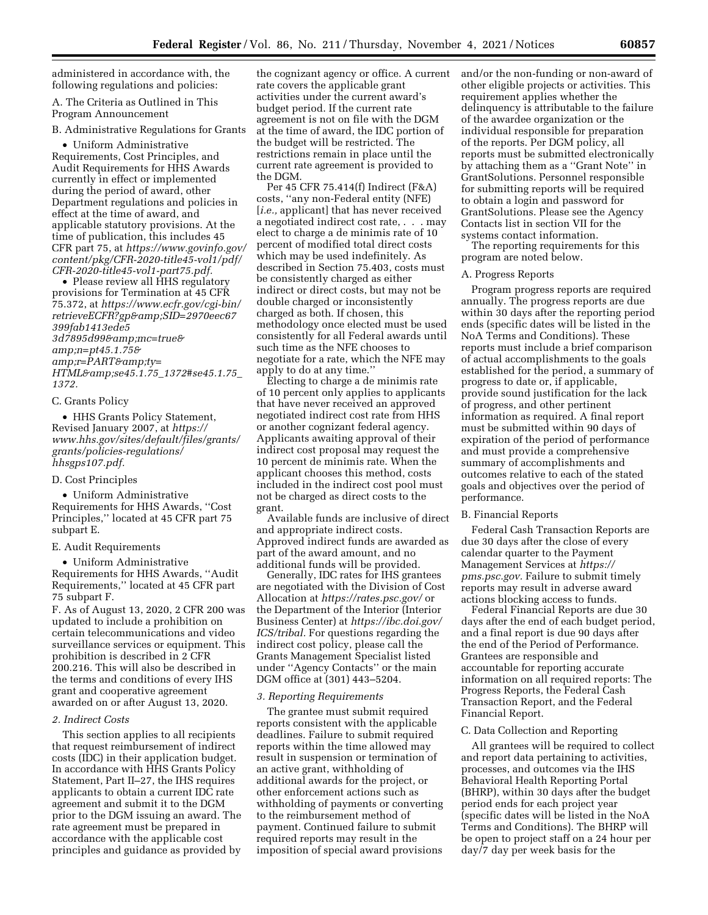administered in accordance with, the following regulations and policies:

A. The Criteria as Outlined in This Program Announcement

B. Administrative Regulations for Grants

• Uniform Administrative Requirements, Cost Principles, and Audit Requirements for HHS Awards currently in effect or implemented during the period of award, other Department regulations and policies in effect at the time of award, and applicable statutory provisions. At the time of publication, this includes 45 CFR part 75, at *[https://www.govinfo.gov/](https://www.govinfo.gov/content/pkg/CFR-2020-title45-vol1/pdf/CFR-2020-title45-vol1-part75.pdf) [content/pkg/CFR-2020-title45-vol1/pdf/](https://www.govinfo.gov/content/pkg/CFR-2020-title45-vol1/pdf/CFR-2020-title45-vol1-part75.pdf) [CFR-2020-title45-vol1-part75.pdf.](https://www.govinfo.gov/content/pkg/CFR-2020-title45-vol1/pdf/CFR-2020-title45-vol1-part75.pdf)* 

• Please review all HHS regulatory provisions for Termination at 45 CFR 75.372, at *[https://www.ecfr.gov/cgi-bin/](https://www.ecfr.gov/cgi-bin/retrieveECFR?gp&SID=2970eec67399fab1413ede53d7895d99&mc=true&n=pt45.1.75&r=PART&ty=HTML&se45.1.75_1372#se45.1.75_1372) [retrieveECFR?gp&SID=2970eec67](https://www.ecfr.gov/cgi-bin/retrieveECFR?gp&SID=2970eec67399fab1413ede53d7895d99&mc=true&n=pt45.1.75&r=PART&ty=HTML&se45.1.75_1372#se45.1.75_1372) [399fab1413ede5](https://www.ecfr.gov/cgi-bin/retrieveECFR?gp&SID=2970eec67399fab1413ede53d7895d99&mc=true&n=pt45.1.75&r=PART&ty=HTML&se45.1.75_1372#se45.1.75_1372) [3d7895d99&mc=true&](https://www.ecfr.gov/cgi-bin/retrieveECFR?gp&SID=2970eec67399fab1413ede53d7895d99&mc=true&n=pt45.1.75&r=PART&ty=HTML&se45.1.75_1372#se45.1.75_1372) [amp;n=pt45.1.75&](https://www.ecfr.gov/cgi-bin/retrieveECFR?gp&SID=2970eec67399fab1413ede53d7895d99&mc=true&n=pt45.1.75&r=PART&ty=HTML&se45.1.75_1372#se45.1.75_1372) [amp;r=PART&ty=](https://www.ecfr.gov/cgi-bin/retrieveECFR?gp&SID=2970eec67399fab1413ede53d7895d99&mc=true&n=pt45.1.75&r=PART&ty=HTML&se45.1.75_1372#se45.1.75_1372) [HTML&se45.1.75](https://www.ecfr.gov/cgi-bin/retrieveECFR?gp&SID=2970eec67399fab1413ede53d7895d99&mc=true&n=pt45.1.75&r=PART&ty=HTML&se45.1.75_1372#se45.1.75_1372)*\_*1372#se45.1.75*\_ *[1372.](https://www.ecfr.gov/cgi-bin/retrieveECFR?gp&SID=2970eec67399fab1413ede53d7895d99&mc=true&n=pt45.1.75&r=PART&ty=HTML&se45.1.75_1372#se45.1.75_1372)* 

### C. Grants Policy

• HHS Grants Policy Statement, Revised January 2007, at *[https://](https://www.hhs.gov/sites/default/files/grants/grants/policies-regulations/hhsgps107.pdf) [www.hhs.gov/sites/default/files/grants/](https://www.hhs.gov/sites/default/files/grants/grants/policies-regulations/hhsgps107.pdf) [grants/policies-regulations/](https://www.hhs.gov/sites/default/files/grants/grants/policies-regulations/hhsgps107.pdf)  [hhsgps107.pdf.](https://www.hhs.gov/sites/default/files/grants/grants/policies-regulations/hhsgps107.pdf)* 

#### D. Cost Principles

• Uniform Administrative Requirements for HHS Awards, ''Cost Principles,'' located at 45 CFR part 75 subpart E.

## E. Audit Requirements

• Uniform Administrative Requirements for HHS Awards, ''Audit Requirements,'' located at 45 CFR part 75 subpart F.

F. As of August 13, 2020, 2 CFR 200 was updated to include a prohibition on certain telecommunications and video surveillance services or equipment. This prohibition is described in 2 CFR 200.216. This will also be described in the terms and conditions of every IHS grant and cooperative agreement awarded on or after August 13, 2020.

## *2. Indirect Costs*

This section applies to all recipients that request reimbursement of indirect costs (IDC) in their application budget. In accordance with HHS Grants Policy Statement, Part II–27, the IHS requires applicants to obtain a current IDC rate agreement and submit it to the DGM prior to the DGM issuing an award. The rate agreement must be prepared in accordance with the applicable cost principles and guidance as provided by

the cognizant agency or office. A current rate covers the applicable grant activities under the current award's budget period. If the current rate agreement is not on file with the DGM at the time of award, the IDC portion of the budget will be restricted. The restrictions remain in place until the current rate agreement is provided to the DGM.

Per 45 CFR 75.414(f) Indirect (F&A) costs, ''any non-Federal entity (NFE) [*i.e.*, applicant] that has never received a negotiated indirect cost rate, . . . may elect to charge a de minimis rate of 10 percent of modified total direct costs which may be used indefinitely. As described in Section 75.403, costs must be consistently charged as either indirect or direct costs, but may not be double charged or inconsistently charged as both. If chosen, this methodology once elected must be used consistently for all Federal awards until such time as the NFE chooses to negotiate for a rate, which the NFE may apply to do at any time.''

Electing to charge a de minimis rate of 10 percent only applies to applicants that have never received an approved negotiated indirect cost rate from HHS or another cognizant federal agency. Applicants awaiting approval of their indirect cost proposal may request the 10 percent de minimis rate. When the applicant chooses this method, costs included in the indirect cost pool must not be charged as direct costs to the grant.

Available funds are inclusive of direct and appropriate indirect costs. Approved indirect funds are awarded as part of the award amount, and no additional funds will be provided.

Generally, IDC rates for IHS grantees are negotiated with the Division of Cost Allocation at *<https://rates.psc.gov/>* or the Department of the Interior (Interior Business Center) at *[https://ibc.doi.gov/](https://ibc.doi.gov/ICS/tribal) [ICS/tribal.](https://ibc.doi.gov/ICS/tribal)* For questions regarding the indirect cost policy, please call the Grants Management Specialist listed under ''Agency Contacts'' or the main DGM office at (301) 443–5204.

#### *3. Reporting Requirements*

The grantee must submit required reports consistent with the applicable deadlines. Failure to submit required reports within the time allowed may result in suspension or termination of an active grant, withholding of additional awards for the project, or other enforcement actions such as withholding of payments or converting to the reimbursement method of payment. Continued failure to submit required reports may result in the imposition of special award provisions and/or the non-funding or non-award of other eligible projects or activities. This requirement applies whether the delinquency is attributable to the failure of the awardee organization or the individual responsible for preparation of the reports. Per DGM policy, all reports must be submitted electronically by attaching them as a ''Grant Note'' in GrantSolutions. Personnel responsible for submitting reports will be required to obtain a login and password for GrantSolutions. Please see the Agency Contacts list in section VII for the systems contact information.

The reporting requirements for this program are noted below.

### A. Progress Reports

Program progress reports are required annually. The progress reports are due within 30 days after the reporting period ends (specific dates will be listed in the NoA Terms and Conditions). These reports must include a brief comparison of actual accomplishments to the goals established for the period, a summary of progress to date or, if applicable, provide sound justification for the lack of progress, and other pertinent information as required. A final report must be submitted within 90 days of expiration of the period of performance and must provide a comprehensive summary of accomplishments and outcomes relative to each of the stated goals and objectives over the period of performance.

## B. Financial Reports

Federal Cash Transaction Reports are due 30 days after the close of every calendar quarter to the Payment Management Services at *[https://](https://pms.psc.gov) [pms.psc.gov.](https://pms.psc.gov)* Failure to submit timely reports may result in adverse award actions blocking access to funds.

Federal Financial Reports are due 30 days after the end of each budget period, and a final report is due 90 days after the end of the Period of Performance. Grantees are responsible and accountable for reporting accurate information on all required reports: The Progress Reports, the Federal Cash Transaction Report, and the Federal Financial Report.

### C. Data Collection and Reporting

All grantees will be required to collect and report data pertaining to activities, processes, and outcomes via the IHS Behavioral Health Reporting Portal (BHRP), within 30 days after the budget period ends for each project year (specific dates will be listed in the NoA Terms and Conditions). The BHRP will be open to project staff on a 24 hour per day/7 day per week basis for the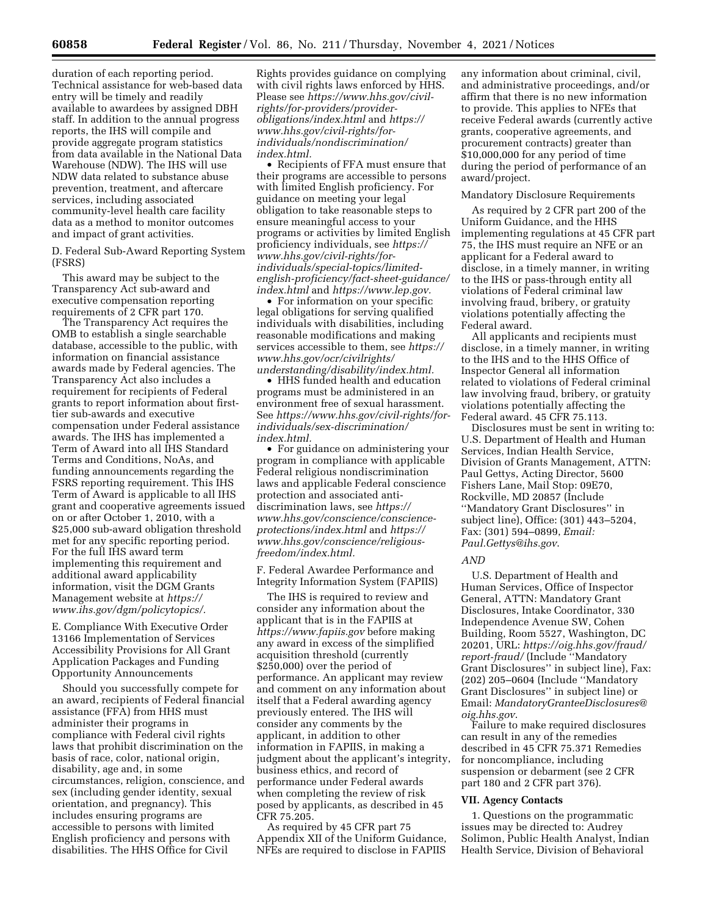duration of each reporting period. Technical assistance for web-based data entry will be timely and readily available to awardees by assigned DBH staff. In addition to the annual progress reports, the IHS will compile and provide aggregate program statistics from data available in the National Data Warehouse (NDW). The IHS will use NDW data related to substance abuse prevention, treatment, and aftercare services, including associated community-level health care facility data as a method to monitor outcomes and impact of grant activities.

D. Federal Sub-Award Reporting System (FSRS)

This award may be subject to the Transparency Act sub-award and executive compensation reporting requirements of 2 CFR part 170.

The Transparency Act requires the OMB to establish a single searchable database, accessible to the public, with information on financial assistance awards made by Federal agencies. The Transparency Act also includes a requirement for recipients of Federal grants to report information about firsttier sub-awards and executive compensation under Federal assistance awards. The IHS has implemented a Term of Award into all IHS Standard Terms and Conditions, NoAs, and funding announcements regarding the FSRS reporting requirement. This IHS Term of Award is applicable to all IHS grant and cooperative agreements issued on or after October 1, 2010, with a \$25,000 sub-award obligation threshold met for any specific reporting period. For the full IHS award term implementing this requirement and additional award applicability information, visit the DGM Grants Management website at *[https://](https://www.ihs.gov/dgm/policytopics/) [www.ihs.gov/dgm/policytopics/.](https://www.ihs.gov/dgm/policytopics/)* 

E. Compliance With Executive Order 13166 Implementation of Services Accessibility Provisions for All Grant Application Packages and Funding Opportunity Announcements

Should you successfully compete for an award, recipients of Federal financial assistance (FFA) from HHS must administer their programs in compliance with Federal civil rights laws that prohibit discrimination on the basis of race, color, national origin, disability, age and, in some circumstances, religion, conscience, and sex (including gender identity, sexual orientation, and pregnancy). This includes ensuring programs are accessible to persons with limited English proficiency and persons with disabilities. The HHS Office for Civil

Rights provides guidance on complying with civil rights laws enforced by HHS. Please see *[https://www.hhs.gov/civil](https://www.hhs.gov/civil-rights/for-providers/provider-obligations/index.html)[rights/for-providers/provider](https://www.hhs.gov/civil-rights/for-providers/provider-obligations/index.html)[obligations/index.html](https://www.hhs.gov/civil-rights/for-providers/provider-obligations/index.html)* and *[https://](https://www.hhs.gov/civil-rights/for-individuals/nondiscrimination/index.html) [www.hhs.gov/civil-rights/for](https://www.hhs.gov/civil-rights/for-individuals/nondiscrimination/index.html)[individuals/nondiscrimination/](https://www.hhs.gov/civil-rights/for-individuals/nondiscrimination/index.html)  [index.html.](https://www.hhs.gov/civil-rights/for-individuals/nondiscrimination/index.html)* 

• Recipients of FFA must ensure that their programs are accessible to persons with limited English proficiency. For guidance on meeting your legal obligation to take reasonable steps to ensure meaningful access to your programs or activities by limited English proficiency individuals, see *[https://](https://www.hhs.gov/civil-rights/for-individuals/special-topics/limited-english-proficiency/fact-sheet-guidance/index.html) [www.hhs.gov/civil-rights/for](https://www.hhs.gov/civil-rights/for-individuals/special-topics/limited-english-proficiency/fact-sheet-guidance/index.html)[individuals/special-topics/limited](https://www.hhs.gov/civil-rights/for-individuals/special-topics/limited-english-proficiency/fact-sheet-guidance/index.html)[english-proficiency/fact-sheet-guidance/](https://www.hhs.gov/civil-rights/for-individuals/special-topics/limited-english-proficiency/fact-sheet-guidance/index.html)  [index.html](https://www.hhs.gov/civil-rights/for-individuals/special-topics/limited-english-proficiency/fact-sheet-guidance/index.html)* and *[https://www.lep.gov.](https://www.lep.gov)* 

• For information on your specific legal obligations for serving qualified individuals with disabilities, including reasonable modifications and making services accessible to them, see *[https://](https://www.hhs.gov/ocr/civilrights/understanding/disability/index.html)  [www.hhs.gov/ocr/civilrights/](https://www.hhs.gov/ocr/civilrights/understanding/disability/index.html) [understanding/disability/index.html.](https://www.hhs.gov/ocr/civilrights/understanding/disability/index.html)* 

• HHS funded health and education programs must be administered in an environment free of sexual harassment. See *[https://www.hhs.gov/civil-rights/for](https://www.hhs.gov/civil-rights/for-individuals/sex-discrimination/index.html)[individuals/sex-discrimination/](https://www.hhs.gov/civil-rights/for-individuals/sex-discrimination/index.html) [index.html.](https://www.hhs.gov/civil-rights/for-individuals/sex-discrimination/index.html)* 

• For guidance on administering your program in compliance with applicable Federal religious nondiscrimination laws and applicable Federal conscience protection and associated antidiscrimination laws, see *[https://](https://www.hhs.gov/conscience/conscience-protections/index.html) [www.hhs.gov/conscience/conscience](https://www.hhs.gov/conscience/conscience-protections/index.html)[protections/index.html](https://www.hhs.gov/conscience/conscience-protections/index.html)* and *[https://](https://www.hhs.gov/conscience/religious-freedom/index.html) [www.hhs.gov/conscience/religious](https://www.hhs.gov/conscience/religious-freedom/index.html)[freedom/index.html.](https://www.hhs.gov/conscience/religious-freedom/index.html)* 

F. Federal Awardee Performance and Integrity Information System (FAPIIS)

The IHS is required to review and consider any information about the applicant that is in the FAPIIS at *<https://www.fapiis.gov>* before making any award in excess of the simplified acquisition threshold (currently \$250,000) over the period of performance. An applicant may review and comment on any information about itself that a Federal awarding agency previously entered. The IHS will consider any comments by the applicant, in addition to other information in FAPIIS, in making a judgment about the applicant's integrity, business ethics, and record of performance under Federal awards when completing the review of risk posed by applicants, as described in 45 CFR 75.205.

As required by 45 CFR part 75 Appendix XII of the Uniform Guidance, NFEs are required to disclose in FAPIIS

any information about criminal, civil, and administrative proceedings, and/or affirm that there is no new information to provide. This applies to NFEs that receive Federal awards (currently active grants, cooperative agreements, and procurement contracts) greater than \$10,000,000 for any period of time during the period of performance of an award/project.

### Mandatory Disclosure Requirements

As required by 2 CFR part 200 of the Uniform Guidance, and the HHS implementing regulations at 45 CFR part 75, the IHS must require an NFE or an applicant for a Federal award to disclose, in a timely manner, in writing to the IHS or pass-through entity all violations of Federal criminal law involving fraud, bribery, or gratuity violations potentially affecting the Federal award.

All applicants and recipients must disclose, in a timely manner, in writing to the IHS and to the HHS Office of Inspector General all information related to violations of Federal criminal law involving fraud, bribery, or gratuity violations potentially affecting the Federal award. 45 CFR 75.113.

Disclosures must be sent in writing to: U.S. Department of Health and Human Services, Indian Health Service, Division of Grants Management, ATTN: Paul Gettys, Acting Director, 5600 Fishers Lane, Mail Stop: 09E70, Rockville, MD 20857 (Include ''Mandatory Grant Disclosures'' in subject line), Office: (301) 443–5204, Fax: (301) 594–0899, *Email: [Paul.Gettys@ihs.gov](mailto:Paul.Gettys@ihs.gov)*.

### *AND*

U.S. Department of Health and Human Services, Office of Inspector General, ATTN: Mandatory Grant Disclosures, Intake Coordinator, 330 Independence Avenue SW, Cohen Building, Room 5527, Washington, DC 20201, URL: *[https://oig.hhs.gov/fraud/](https://oig.hhs.gov/fraud/report-fraud/) [report-fraud/](https://oig.hhs.gov/fraud/report-fraud/)* (Include ''Mandatory Grant Disclosures'' in subject line), Fax: (202) 205–0604 (Include ''Mandatory Grant Disclosures'' in subject line) or Email: *[MandatoryGranteeDisclosures@](mailto:MandatoryGranteeDisclosures@oig.hhs.gov) [oig.hhs.gov](mailto:MandatoryGranteeDisclosures@oig.hhs.gov)*.

Failure to make required disclosures can result in any of the remedies described in 45 CFR 75.371 Remedies for noncompliance, including suspension or debarment (see 2 CFR part 180 and 2 CFR part 376).

#### **VII. Agency Contacts**

1. Questions on the programmatic issues may be directed to: Audrey Solimon, Public Health Analyst, Indian Health Service, Division of Behavioral